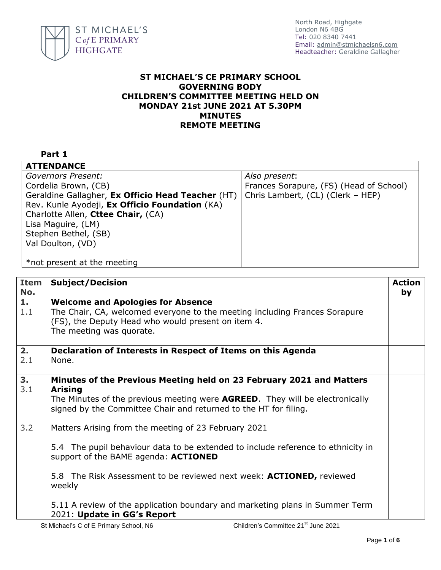

## **ST MICHAEL'S CE PRIMARY SCHOOL GOVERNING BODY CHILDREN'S COMMITTEE MEETING HELD ON MONDAY 21st JUNE 2021 AT 5.30PM MINUTES REMOTE MEETING**

## **Part 1**

| <b>ATTENDANCE</b>                                 |                                         |  |
|---------------------------------------------------|-----------------------------------------|--|
| Governors Present:                                | Also present:                           |  |
| Cordelia Brown, (CB)                              | Frances Sorapure, (FS) (Head of School) |  |
| Geraldine Gallagher, Ex Officio Head Teacher (HT) | Chris Lambert, (CL) (Clerk - HEP)       |  |
| Rev. Kunle Ayodeji, Ex Officio Foundation (KA)    |                                         |  |
| Charlotte Allen, Cttee Chair, (CA)                |                                         |  |
| Lisa Maguire, (LM)                                |                                         |  |
| Stephen Bethel, (SB)                              |                                         |  |
| Val Doulton, (VD)                                 |                                         |  |
|                                                   |                                         |  |
| *not present at the meeting                       |                                         |  |

| <b>Item</b><br>No. | <b>Subject/Decision</b>                                                                                                                                                                                                                                                           | <b>Action</b><br>by |
|--------------------|-----------------------------------------------------------------------------------------------------------------------------------------------------------------------------------------------------------------------------------------------------------------------------------|---------------------|
| 1.<br>1.1          | <b>Welcome and Apologies for Absence</b><br>The Chair, CA, welcomed everyone to the meeting including Frances Sorapure<br>(FS), the Deputy Head who would present on item 4.<br>The meeting was quorate.                                                                          |                     |
| 2.<br>2.1          | Declaration of Interests in Respect of Items on this Agenda<br>None.                                                                                                                                                                                                              |                     |
| 3.<br>3.1          | Minutes of the Previous Meeting held on 23 February 2021 and Matters<br><b>Arising</b><br>The Minutes of the previous meeting were <b>AGREED</b> . They will be electronically<br>signed by the Committee Chair and returned to the HT for filing.                                |                     |
| 3.2                | Matters Arising from the meeting of 23 February 2021<br>5.4 The pupil behaviour data to be extended to include reference to ethnicity in<br>support of the BAME agenda: <b>ACTIONED</b><br>5.8 The Risk Assessment to be reviewed next week: <b>ACTIONED</b> , reviewed<br>weekly |                     |
|                    | 5.11 A review of the application boundary and marketing plans in Summer Term<br>2021: Update in GG's Report<br>Children's Committee 21st lune 2021<br>St Michael's C of E Primary School N6                                                                                       |                     |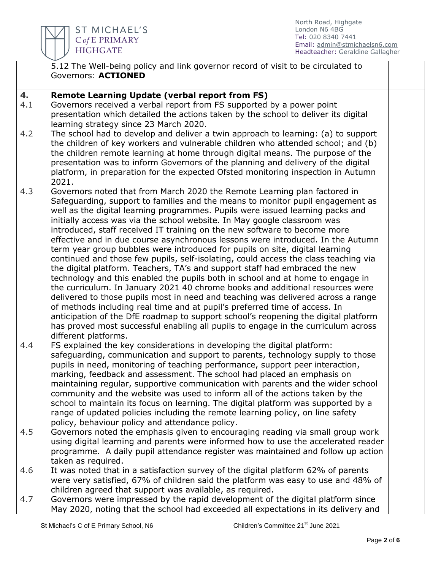

|     | 5.12 The Well-being policy and link governor record of visit to be circulated to    |  |
|-----|-------------------------------------------------------------------------------------|--|
|     | Governors: ACTIONED                                                                 |  |
|     |                                                                                     |  |
| 4.  | <b>Remote Learning Update (verbal report from FS)</b>                               |  |
| 4.1 | Governors received a verbal report from FS supported by a power point               |  |
|     | presentation which detailed the actions taken by the school to deliver its digital  |  |
|     | learning strategy since 23 March 2020.                                              |  |
| 4.2 | The school had to develop and deliver a twin approach to learning: (a) to support   |  |
|     | the children of key workers and vulnerable children who attended school; and (b)    |  |
|     | the children remote learning at home through digital means. The purpose of the      |  |
|     |                                                                                     |  |
|     | presentation was to inform Governors of the planning and delivery of the digital    |  |
|     | platform, in preparation for the expected Ofsted monitoring inspection in Autumn    |  |
|     | 2021.                                                                               |  |
| 4.3 | Governors noted that from March 2020 the Remote Learning plan factored in           |  |
|     | Safeguarding, support to families and the means to monitor pupil engagement as      |  |
|     | well as the digital learning programmes. Pupils were issued learning packs and      |  |
|     | initially access was via the school website. In May google classroom was            |  |
|     | introduced, staff received IT training on the new software to become more           |  |
|     | effective and in due course asynchronous lessons were introduced. In the Autumn     |  |
|     | term year group bubbles were introduced for pupils on site, digital learning        |  |
|     | continued and those few pupils, self-isolating, could access the class teaching via |  |
|     | the digital platform. Teachers, TA's and support staff had embraced the new         |  |
|     | technology and this enabled the pupils both in school and at home to engage in      |  |
|     | the curriculum. In January 2021 40 chrome books and additional resources were       |  |
|     | delivered to those pupils most in need and teaching was delivered across a range    |  |
|     | of methods including real time and at pupil's preferred time of access. In          |  |
|     | anticipation of the DfE roadmap to support school's reopening the digital platform  |  |
|     | has proved most successful enabling all pupils to engage in the curriculum across   |  |
|     | different platforms.                                                                |  |
| 4.4 | FS explained the key considerations in developing the digital platform:             |  |
|     | safeguarding, communication and support to parents, technology supply to those      |  |
|     | pupils in need, monitoring of teaching performance, support peer interaction,       |  |
|     | marking, feedback and assessment. The school had placed an emphasis on              |  |
|     | maintaining regular, supportive communication with parents and the wider school     |  |
|     | community and the website was used to inform all of the actions taken by the        |  |
|     | school to maintain its focus on learning. The digital platform was supported by a   |  |
|     | range of updated policies including the remote learning policy, on line safety      |  |
|     | policy, behaviour policy and attendance policy.                                     |  |
| 4.5 | Governors noted the emphasis given to encouraging reading via small group work      |  |
|     | using digital learning and parents were informed how to use the accelerated reader  |  |
|     | programme. A daily pupil attendance register was maintained and follow up action    |  |
|     | taken as required.                                                                  |  |
| 4.6 |                                                                                     |  |
|     | It was noted that in a satisfaction survey of the digital platform 62% of parents   |  |
|     | were very satisfied, 67% of children said the platform was easy to use and 48% of   |  |
|     | children agreed that support was available, as required.                            |  |
| 4.7 | Governors were impressed by the rapid development of the digital platform since     |  |
|     | May 2020, noting that the school had exceeded all expectations in its delivery and  |  |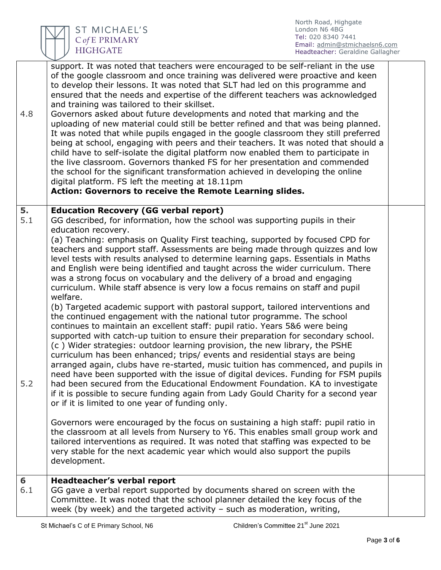

| 4.8       | support. It was noted that teachers were encouraged to be self-reliant in the use<br>of the google classroom and once training was delivered were proactive and keen<br>to develop their lessons. It was noted that SLT had led on this programme and<br>ensured that the needs and expertise of the different teachers was acknowledged<br>and training was tailored to their skillset.<br>Governors asked about future developments and noted that marking and the<br>uploading of new material could still be better refined and that was being planned.<br>It was noted that while pupils engaged in the google classroom they still preferred<br>being at school, engaging with peers and their teachers. It was noted that should a<br>child have to self-isolate the digital platform now enabled them to participate in<br>the live classroom. Governors thanked FS for her presentation and commended<br>the school for the significant transformation achieved in developing the online<br>digital platform. FS left the meeting at 18.11pm<br>Action: Governors to receive the Remote Learning slides. |  |
|-----------|-------------------------------------------------------------------------------------------------------------------------------------------------------------------------------------------------------------------------------------------------------------------------------------------------------------------------------------------------------------------------------------------------------------------------------------------------------------------------------------------------------------------------------------------------------------------------------------------------------------------------------------------------------------------------------------------------------------------------------------------------------------------------------------------------------------------------------------------------------------------------------------------------------------------------------------------------------------------------------------------------------------------------------------------------------------------------------------------------------------------|--|
| 5.<br>5.1 | <b>Education Recovery (GG verbal report)</b><br>GG described, for information, how the school was supporting pupils in their                                                                                                                                                                                                                                                                                                                                                                                                                                                                                                                                                                                                                                                                                                                                                                                                                                                                                                                                                                                      |  |
|           | education recovery.<br>(a) Teaching: emphasis on Quality First teaching, supported by focused CPD for<br>teachers and support staff. Assessments are being made through quizzes and low<br>level tests with results analysed to determine learning gaps. Essentials in Maths<br>and English were being identified and taught across the wider curriculum. There<br>was a strong focus on vocabulary and the delivery of a broad and engaging<br>curriculum. While staff absence is very low a focus remains on staff and pupil<br>welfare.<br>(b) Targeted academic support with pastoral support, tailored interventions and<br>the continued engagement with the national tutor programme. The school                                                                                                                                                                                                                                                                                                                                                                                                           |  |
| 5.2       | continues to maintain an excellent staff: pupil ratio. Years 5&6 were being<br>supported with catch-up tuition to ensure their preparation for secondary school.<br>(c) Wider strategies: outdoor learning provision, the new library, the PSHE<br>curriculum has been enhanced; trips/ events and residential stays are being<br>arranged again, clubs have re-started, music tuition has commenced, and pupils in<br>need have been supported with the issue of digital devices. Funding for FSM pupils<br>had been secured from the Educational Endowment Foundation. KA to investigate<br>if it is possible to secure funding again from Lady Gould Charity for a second year<br>or if it is limited to one year of funding only.                                                                                                                                                                                                                                                                                                                                                                             |  |
|           | Governors were encouraged by the focus on sustaining a high staff: pupil ratio in<br>the classroom at all levels from Nursery to Y6. This enables small group work and<br>tailored interventions as required. It was noted that staffing was expected to be<br>very stable for the next academic year which would also support the pupils<br>development.                                                                                                                                                                                                                                                                                                                                                                                                                                                                                                                                                                                                                                                                                                                                                         |  |
| 6<br>6.1  | Headteacher's verbal report<br>GG gave a verbal report supported by documents shared on screen with the<br>Committee. It was noted that the school planner detailed the key focus of the<br>week (by week) and the targeted activity $-$ such as moderation, writing,                                                                                                                                                                                                                                                                                                                                                                                                                                                                                                                                                                                                                                                                                                                                                                                                                                             |  |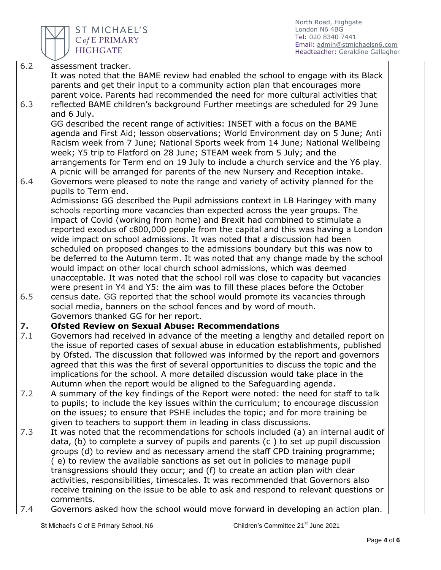

ST MICHAEL'S C of E PRIMARY **HIGHGATE** 

North Road, Highgate London N6 4BG Tel: 020 8340 7441 Email: [admin@stmichaelsn6.com](mailto:admin@stmichaelsn6.com) Headteacher: Geraldine Gallagher

| 6.2              | assessment tracker.                                                                                                                                                        |  |
|------------------|----------------------------------------------------------------------------------------------------------------------------------------------------------------------------|--|
|                  | It was noted that the BAME review had enabled the school to engage with its Black                                                                                          |  |
|                  | parents and get their input to a community action plan that encourages more                                                                                                |  |
|                  | parent voice. Parents had recommended the need for more cultural activities that                                                                                           |  |
| 6.3              | reflected BAME children's background Further meetings are scheduled for 29 June                                                                                            |  |
|                  | and 6 July.                                                                                                                                                                |  |
|                  | GG described the recent range of activities: INSET with a focus on the BAME                                                                                                |  |
|                  | agenda and First Aid; lesson observations; World Environment day on 5 June; Anti                                                                                           |  |
|                  | Racism week from 7 June; National Sports week from 14 June; National Wellbeing                                                                                             |  |
|                  | week; Y5 trip to Flatford on 28 June; STEAM week from 5 July; and the                                                                                                      |  |
|                  | arrangements for Term end on 19 July to include a church service and the Y6 play.                                                                                          |  |
|                  | A picnic will be arranged for parents of the new Nursery and Reception intake.                                                                                             |  |
| 6.4              | Governors were pleased to note the range and variety of activity planned for the                                                                                           |  |
|                  | pupils to Term end.                                                                                                                                                        |  |
|                  | Admissions: GG described the Pupil admissions context in LB Haringey with many                                                                                             |  |
|                  | schools reporting more vacancies than expected across the year groups. The                                                                                                 |  |
|                  | impact of Covid (working from home) and Brexit had combined to stimulate a                                                                                                 |  |
|                  | reported exodus of c800,000 people from the capital and this was having a London                                                                                           |  |
|                  | wide impact on school admissions. It was noted that a discussion had been                                                                                                  |  |
|                  | scheduled on proposed changes to the admissions boundary but this was now to                                                                                               |  |
|                  | be deferred to the Autumn term. It was noted that any change made by the school                                                                                            |  |
|                  | would impact on other local church school admissions, which was deemed                                                                                                     |  |
|                  | unacceptable. It was noted that the school roll was close to capacity but vacancies                                                                                        |  |
|                  | were present in Y4 and Y5: the aim was to fill these places before the October                                                                                             |  |
| 6.5              | census date. GG reported that the school would promote its vacancies through                                                                                               |  |
|                  | social media, banners on the school fences and by word of mouth.                                                                                                           |  |
|                  | Governors thanked GG for her report.                                                                                                                                       |  |
| $\overline{z}$ . | <b>Ofsted Review on Sexual Abuse: Recommendations</b>                                                                                                                      |  |
| 7.1              | Governors had received in advance of the meeting a lengthy and detailed report on                                                                                          |  |
|                  | the issue of reported cases of sexual abuse in education establishments, published                                                                                         |  |
|                  | by Ofsted. The discussion that followed was informed by the report and governors                                                                                           |  |
|                  | agreed that this was the first of several opportunities to discuss the topic and the                                                                                       |  |
|                  | implications for the school. A more detailed discussion would take place in the                                                                                            |  |
|                  | Autumn when the report would be aligned to the Safeguarding agenda.                                                                                                        |  |
| 7.2              | A summary of the key findings of the Report were noted: the need for staff to talk                                                                                         |  |
|                  | to pupils; to include the key issues within the curriculum; to encourage discussion                                                                                        |  |
|                  | on the issues; to ensure that PSHE includes the topic; and for more training be                                                                                            |  |
| 7.3              | given to teachers to support them in leading in class discussions.                                                                                                         |  |
|                  | It was noted that the recommendations for schools included (a) an internal audit of<br>data, (b) to complete a survey of pupils and parents (c) to set up pupil discussion |  |
|                  | groups (d) to review and as necessary amend the staff CPD training programme;                                                                                              |  |
|                  | (e) to review the available sanctions as set out in policies to manage pupil                                                                                               |  |
|                  | transgressions should they occur; and (f) to create an action plan with clear                                                                                              |  |
|                  | activities, responsibilities, timescales. It was recommended that Governors also                                                                                           |  |
|                  | receive training on the issue to be able to ask and respond to relevant questions or                                                                                       |  |
|                  | comments.                                                                                                                                                                  |  |
| 7.4              | Governors asked how the school would move forward in developing an action plan.                                                                                            |  |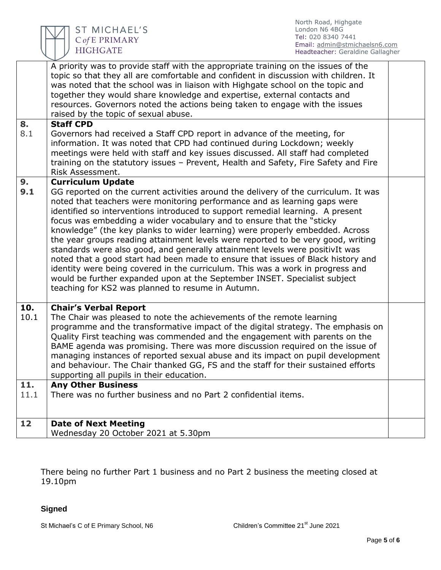

| 8.<br>8.1   | A priority was to provide staff with the appropriate training on the issues of the<br>topic so that they all are comfortable and confident in discussion with children. It<br>was noted that the school was in liaison with Highgate school on the topic and<br>together they would share knowledge and expertise, external contacts and<br>resources. Governors noted the actions being taken to engage with the issues<br>raised by the topic of sexual abuse.<br><b>Staff CPD</b><br>Governors had received a Staff CPD report in advance of the meeting, for<br>information. It was noted that CPD had continued during Lockdown; weekly<br>meetings were held with staff and key issues discussed. All staff had completed<br>training on the statutory issues - Prevent, Health and Safety, Fire Safety and Fire<br>Risk Assessment.                                                                          |  |
|-------------|---------------------------------------------------------------------------------------------------------------------------------------------------------------------------------------------------------------------------------------------------------------------------------------------------------------------------------------------------------------------------------------------------------------------------------------------------------------------------------------------------------------------------------------------------------------------------------------------------------------------------------------------------------------------------------------------------------------------------------------------------------------------------------------------------------------------------------------------------------------------------------------------------------------------|--|
| 9.<br>9.1   | <b>Curriculum Update</b><br>GG reported on the current activities around the delivery of the curriculum. It was<br>noted that teachers were monitoring performance and as learning gaps were<br>identified so interventions introduced to support remedial learning. A present<br>focus was embedding a wider vocabulary and to ensure that the "sticky<br>knowledge" (the key planks to wider learning) were properly embedded. Across<br>the year groups reading attainment levels were reported to be very good, writing<br>standards were also good, and generally attainment levels were positivIt was<br>noted that a good start had been made to ensure that issues of Black history and<br>identity were being covered in the curriculum. This was a work in progress and<br>would be further expanded upon at the September INSET. Specialist subject<br>teaching for KS2 was planned to resume in Autumn. |  |
| 10.<br>10.1 | <b>Chair's Verbal Report</b><br>The Chair was pleased to note the achievements of the remote learning<br>programme and the transformative impact of the digital strategy. The emphasis on<br>Quality First teaching was commended and the engagement with parents on the<br>BAME agenda was promising. There was more discussion required on the issue of<br>managing instances of reported sexual abuse and its impact on pupil development<br>and behaviour. The Chair thanked GG, FS and the staff for their sustained efforts<br>supporting all pupils in their education.                                                                                                                                                                                                                                                                                                                                      |  |
| 11.         | <b>Any Other Business</b>                                                                                                                                                                                                                                                                                                                                                                                                                                                                                                                                                                                                                                                                                                                                                                                                                                                                                           |  |
| 11.1        | There was no further business and no Part 2 confidential items.                                                                                                                                                                                                                                                                                                                                                                                                                                                                                                                                                                                                                                                                                                                                                                                                                                                     |  |
| 12          | <b>Date of Next Meeting</b>                                                                                                                                                                                                                                                                                                                                                                                                                                                                                                                                                                                                                                                                                                                                                                                                                                                                                         |  |
|             | Wednesday 20 October 2021 at 5.30pm                                                                                                                                                                                                                                                                                                                                                                                                                                                                                                                                                                                                                                                                                                                                                                                                                                                                                 |  |

There being no further Part 1 business and no Part 2 business the meeting closed at 19.10pm

## **Signed**

St Michael's C of E Primary School, N6